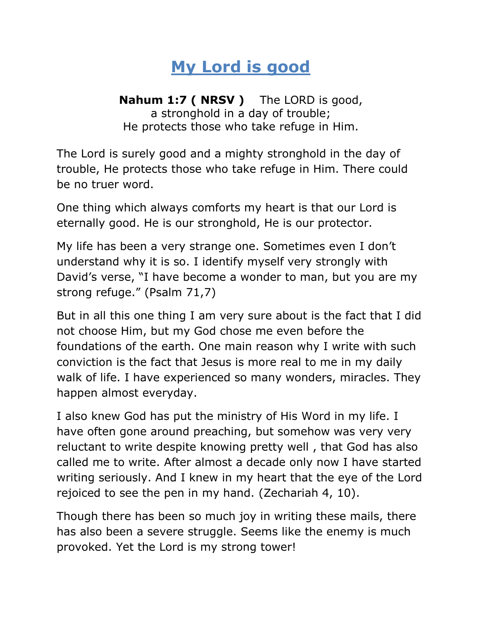## **My Lord is good**

**Nahum 1:7 ( NRSV )** The LORD is good, a stronghold in a day of trouble; He protects those who take refuge in Him.

The Lord is surely good and a mighty stronghold in the day of trouble, He protects those who take refuge in Him. There could be no truer word.

One thing which always comforts my heart is that our Lord is eternally good. He is our stronghold, He is our protector.

My life has been a very strange one. Sometimes even I don't understand why it is so. I identify myself very strongly with David's verse, "I have become a wonder to man, but you are my strong refuge." (Psalm 71,7)

But in all this one thing I am very sure about is the fact that I did not choose Him, but my God chose me even before the foundations of the earth. One main reason why I write with such conviction is the fact that Jesus is more real to me in my daily walk of life. I have experienced so many wonders, miracles. They happen almost everyday.

I also knew God has put the ministry of His Word in my life. I have often gone around preaching, but somehow was very very reluctant to write despite knowing pretty well , that God has also called me to write. After almost a decade only now I have started writing seriously. And I knew in my heart that the eye of the Lord rejoiced to see the pen in my hand. (Zechariah 4, 10).

Though there has been so much joy in writing these mails, there has also been a severe struggle. Seems like the enemy is much provoked. Yet the Lord is my strong tower!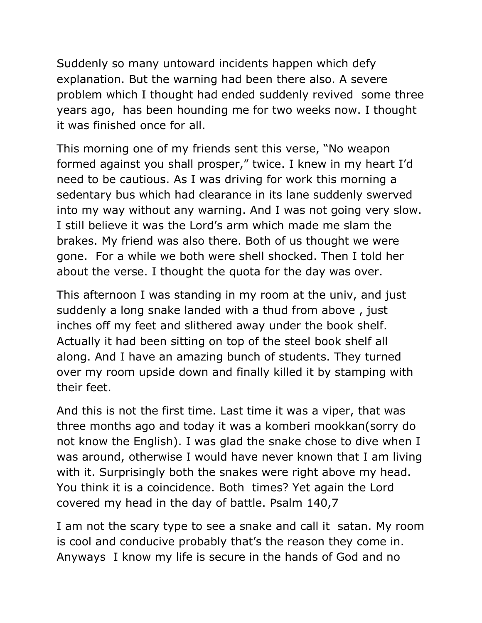Suddenly so many untoward incidents happen which defy explanation. But the warning had been there also. A severe problem which I thought had ended suddenly revived some three years ago, has been hounding me for two weeks now. I thought it was finished once for all.

This morning one of my friends sent this verse, "No weapon formed against you shall prosper," twice. I knew in my heart I'd need to be cautious. As I was driving for work this morning a sedentary bus which had clearance in its lane suddenly swerved into my way without any warning. And I was not going very slow. I still believe it was the Lord's arm which made me slam the brakes. My friend was also there. Both of us thought we were gone. For a while we both were shell shocked. Then I told her about the verse. I thought the quota for the day was over.

This afternoon I was standing in my room at the univ, and just suddenly a long snake landed with a thud from above , just inches off my feet and slithered away under the book shelf. Actually it had been sitting on top of the steel book shelf all along. And I have an amazing bunch of students. They turned over my room upside down and finally killed it by stamping with their feet.

And this is not the first time. Last time it was a viper, that was three months ago and today it was a komberi mookkan(sorry do not know the English). I was glad the snake chose to dive when I was around, otherwise I would have never known that I am living with it. Surprisingly both the snakes were right above my head. You think it is a coincidence. Both times? Yet again the Lord covered my head in the day of battle. Psalm 140,7

I am not the scary type to see a snake and call it satan. My room is cool and conducive probably that's the reason they come in. Anyways I know my life is secure in the hands of God and no